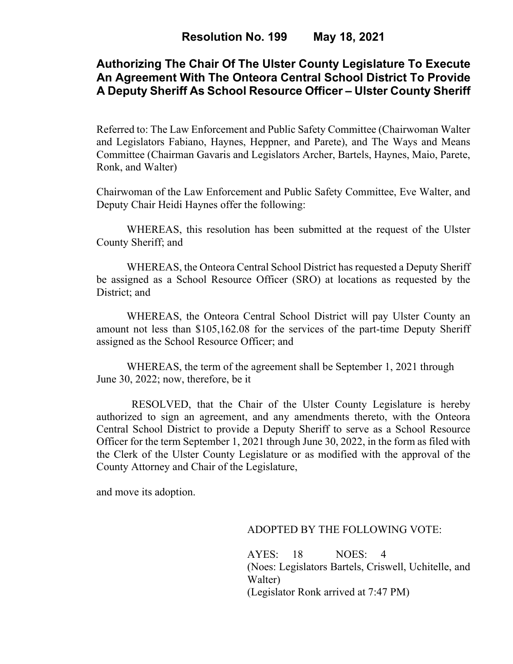# **Authorizing The Chair Of The Ulster County Legislature To Execute An Agreement With The Onteora Central School District To Provide A Deputy Sheriff As School Resource Officer – Ulster County Sheriff**

Referred to: The Law Enforcement and Public Safety Committee (Chairwoman Walter and Legislators Fabiano, Haynes, Heppner, and Parete), and The Ways and Means Committee (Chairman Gavaris and Legislators Archer, Bartels, Haynes, Maio, Parete, Ronk, and Walter)

Chairwoman of the Law Enforcement and Public Safety Committee, Eve Walter, and Deputy Chair Heidi Haynes offer the following:

WHEREAS, this resolution has been submitted at the request of the Ulster County Sheriff; and

WHEREAS, the Onteora Central School District has requested a Deputy Sheriff be assigned as a School Resource Officer (SRO) at locations as requested by the District; and

WHEREAS, the Onteora Central School District will pay Ulster County an amount not less than \$105,162.08 for the services of the part-time Deputy Sheriff assigned as the School Resource Officer; and

WHEREAS, the term of the agreement shall be September 1, 2021 through June 30, 2022; now, therefore, be it

 RESOLVED, that the Chair of the Ulster County Legislature is hereby authorized to sign an agreement, and any amendments thereto, with the Onteora Central School District to provide a Deputy Sheriff to serve as a School Resource Officer for the term September 1, 2021 through June 30, 2022, in the form as filed with the Clerk of the Ulster County Legislature or as modified with the approval of the County Attorney and Chair of the Legislature,

and move its adoption.

#### ADOPTED BY THE FOLLOWING VOTE:

AYES: 18 NOES: 4 (Noes: Legislators Bartels, Criswell, Uchitelle, and Walter) (Legislator Ronk arrived at 7:47 PM)